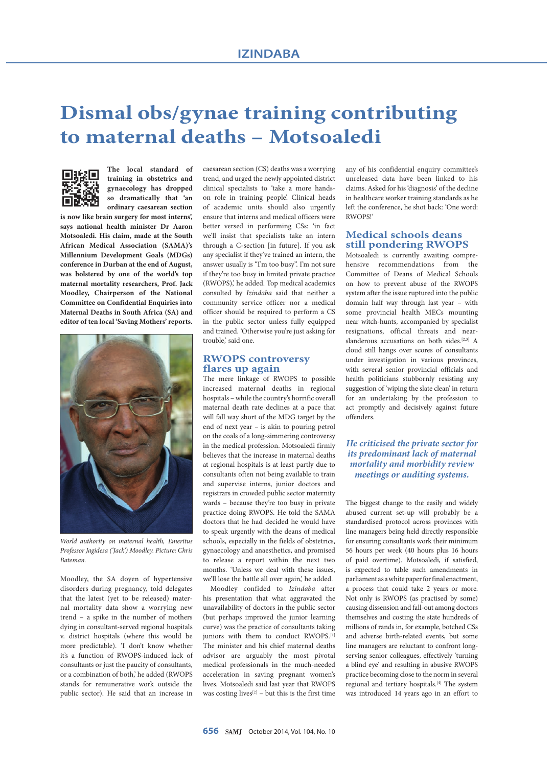# **Dismal obs/gynae training contributing to maternal deaths – Motsoaledi**



**The local standard of training in obstetrics and gynaecology has dropped so dramatically that 'an ordinary caesarean section** 

**is now like brain surgery for most interns', says national health minister Dr Aaron Motsoaledi. His claim, made at the South African Medical Association (SAMA)'s Millennium Development Goals (MDGs) conference in Durban at the end of August, was bolstered by one of the world's top maternal mortality researchers, Prof. Jack Moodley, Chairperson of the National Committee on Confidential Enquiries into Maternal Deaths in South Africa (SA) and editor of ten local 'Saving Mothers' reports.**



*World authority on maternal health, Emeritus Professor Jagidesa ('Jack') Moodley. Picture: Chris Bateman.*

Moodley, the SA doyen of hypertensive disorders during pregnancy, told delegates that the latest (yet to be released) maternal mortality data show a worrying new trend – a spike in the number of mothers dying in consultant-served regional hospitals v. district hospitals (where this would be more predictable). 'I don't know whether it's a function of RWOPS-induced lack of consultants or just the paucity of consultants, or a combination of both,' he added (RWOPS stands for remunerative work outside the public sector). He said that an increase in caesarean section (CS) deaths was a worrying trend, and urged the newly appointed district clinical specialists to 'take a more handson role in training people'. Clinical heads of academic units should also urgently ensure that interns and medical officers were better versed in performing CSs: 'in fact we'll insist that specialists take an intern through a C-section [in future]. If you ask any specialist if they've trained an intern, the answer usually is "I'm too busy". I'm not sure if they're too busy in limited private practice (RWOPS),' he added. Top medical academics consulted by *Izindaba* said that neither a community service officer nor a medical officer should be required to perform a CS in the public sector unless fully equipped and trained. 'Otherwise you're just asking for trouble,' said one.

## **RWOPS controversy flares up again**

The mere linkage of RWOPS to possible increased maternal deaths in regional hospitals – while the country's horrific overall maternal death rate declines at a pace that will fall way short of the MDG target by the end of next year – is akin to pouring petrol on the coals of a long-simmering controversy in the medical profession. Motsoaledi firmly believes that the increase in maternal deaths at regional hospitals is at least partly due to consultants often not being available to train and supervise interns, junior doctors and registrars in crowded public sector maternity wards – because they're too busy in private practice doing RWOPS. He told the SAMA doctors that he had decided he would have to speak urgently with the deans of medical schools, especially in the fields of obstetrics, gynaecology and anaesthetics, and promised to release a report within the next two months. 'Unless we deal with these issues, we'll lose the battle all over again,' he added.

Moodley confided to *Izindaba* after his presentation that what aggravated the unavailability of doctors in the public sector (but perhaps improved the junior learning curve) was the practice of consultants taking juniors with them to conduct RWOPS.<sup>[1]</sup> The minister and his chief maternal deaths advisor are arguably the most pivotal medical professionals in the much-needed acceleration in saving pregnant women's lives. Motsoaledi said last year that RWOPS was costing lives $[2]$  – but this is the first time any of his confidential enquiry committee's unreleased data have been linked to his claims. Asked for his 'diagnosis' of the decline in healthcare worker training standards as he left the conference, he shot back: 'One word: RWOPS!'

## **Medical schools deans still pondering RWOPS**

Motsoaledi is currently awaiting comprehensive recommendations from the Committee of Deans of Medical Schools on how to prevent abuse of the RWOPS system after the issue ruptured into the public domain half way through last year – with some provincial health MECs mounting near witch-hunts, accompanied by specialist resignations, official threats and nearslanderous accusations on both sides.<sup>[2,3]</sup> A cloud still hangs over scores of consultants under investigation in various provinces, with several senior provincial officials and health politicians stubbornly resisting any suggestion of 'wiping the slate clean' in return for an undertaking by the profession to act promptly and decisively against future offenders.

## *He criticised the private sector for its predominant lack of maternal mortality and morbidity review meetings or auditing systems.*

The biggest change to the easily and widely abused current set-up will probably be a standardised protocol across provinces with line managers being held directly responsible for ensuring consultants work their minimum 56 hours per week (40 hours plus 16 hours of paid overtime). Motsoaledi, if satisfied, is expected to table such amendments in parliament as a white paper for final enactment, a process that could take 2 years or more. Not only is RWOPS (as practised by some) causing dissension and fall-out among doctors themselves and costing the state hundreds of millions of rands in, for example, botched CSs and adverse birth-related events, but some line managers are reluctant to confront longserving senior colleagues, effectively 'turning a blind eye' and resulting in abusive RWOPS practice becoming close to the norm in several regional and tertiary hospitals.[4] The system was introduced 14 years ago in an effort to